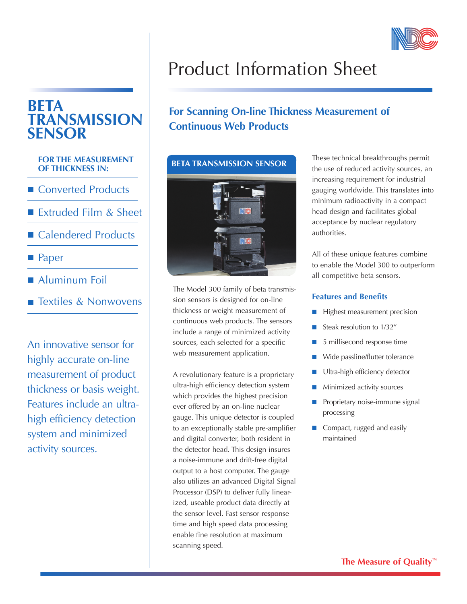

# **BETA TRANSMISSION SENSOR**

### **FOR THE MEASUREMENT OF THICKNESS IN:**

- Converted Products
- Extruded Film & Sheet
- Calendered Products
- **Paper**
- Aluminum Foil
- Textiles & Nonwovens

An innovative sensor for highly accurate on-line measurement of product thickness or basis weight. Features include an ultrahigh efficiency detection system and minimized activity sources.

# Product Information Sheet

# **For Scanning On-line Thickness Measurement of Continuous Web Products**

## **BETA TRANSMISSION SENSOR**



The Model 300 family of beta transmission sensors is designed for on-line thickness or weight measurement of continuous web products. The sensors include a range of minimized activity sources, each selected for a specific web measurement application.

A revolutionary feature is a proprietary ultra-high efficiency detection system which provides the highest precision ever offered by an on-line nuclear gauge. This unique detector is coupled to an exceptionally stable pre-amplifier and digital converter, both resident in the detector head. This design insures a noise-immune and drift-free digital output to a host computer. The gauge also utilizes an advanced Digital Signal Processor (DSP) to deliver fully linearized, useable product data directly at the sensor level. Fast sensor response time and high speed data processing enable fine resolution at maximum scanning speed.

These technical breakthroughs permit the use of reduced activity sources, an increasing requirement for industrial gauging worldwide. This translates into minimum radioactivity in a compact head design and facilitates global acceptance by nuclear regulatory authorities.

All of these unique features combine to enable the Model 300 to outperform all competitive beta sensors.

## **Features and Benefits**

- $\blacksquare$  Highest measurement precision
- Steak resolution to  $1/32''$
- $\blacksquare$  5 millisecond response time
- Wide passline/flutter tolerance
- **n** Ultra-high efficiency detector
- $\blacksquare$  Minimized activity sources
- $\blacksquare$  Proprietary noise-immune signal processing
- Compact, rugged and easily maintained